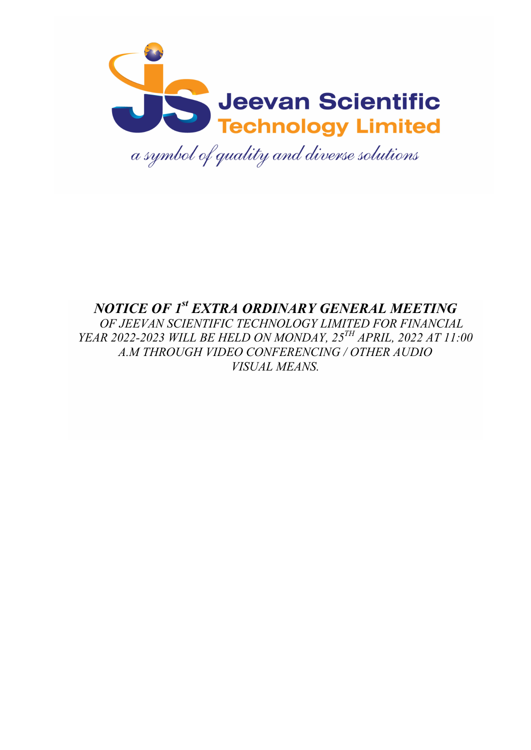

# NOTICE OF 1<sup>st</sup> EXTRA ORDINARY GENERAL MEETING OF JEEVAN SCIENTIFIC TECHNOLOGY LIMITED FOR FINANCIAL YEAR 2022-2023 WILL BE HELD ON MONDAY, 25<sup>TH</sup> APRIL, 2022 AT 11:00 A.M THROUGH VIDEO CONFERENCING / OTHER AUDIO VISUAL MEANS.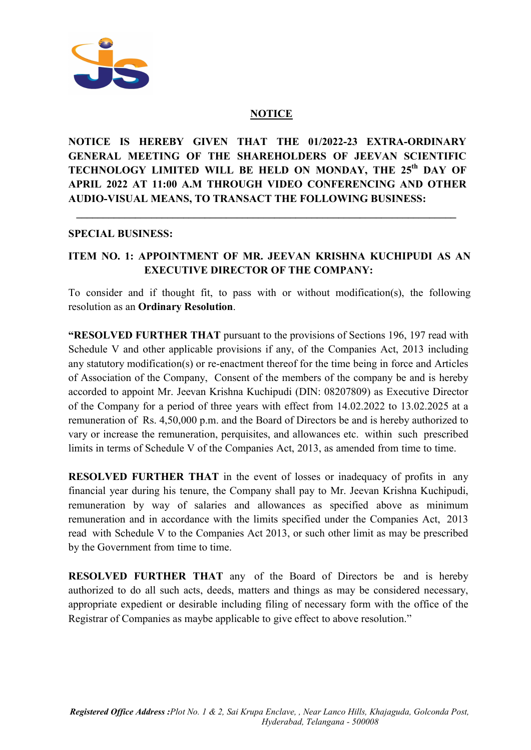

#### **NOTICE**

NOTICE IS HEREBY GIVEN THAT THE 01/2022-23 EXTRA-ORDINARY GENERAL MEETING OF THE SHAREHOLDERS OF JEEVAN SCIENTIFIC TECHNOLOGY LIMITED WILL BE HELD ON MONDAY, THE 25<sup>th</sup> DAY OF APRIL 2022 AT 11:00 A.M THROUGH VIDEO CONFERENCING AND OTHER AUDIO-VISUAL MEANS, TO TRANSACT THE FOLLOWING BUSINESS:

\_\_\_\_\_\_\_\_\_\_\_\_\_\_\_\_\_\_\_\_\_\_\_\_\_\_\_\_\_\_\_\_\_\_\_\_\_\_\_\_\_\_\_\_\_\_\_\_\_\_\_\_\_\_\_\_\_\_\_\_\_\_\_\_\_\_\_\_\_\_\_

#### SPECIAL BUSINESS:

Ī

### ITEM NO. 1: APPOINTMENT OF MR. JEEVAN KRISHNA KUCHIPUDI AS AN EXECUTIVE DIRECTOR OF THE COMPANY:

To consider and if thought fit, to pass with or without modification(s), the following resolution as an Ordinary Resolution.

**"RESOLVED FURTHER THAT** pursuant to the provisions of Sections 196, 197 read with Schedule V and other applicable provisions if any, of the Companies Act, 2013 including any statutory modification(s) or re-enactment thereof for the time being in force and Articles of Association of the Company, Consent of the members of the company be and is hereby accorded to appoint Mr. Jeevan Krishna Kuchipudi (DIN: 08207809) as Executive Director of the Company for a period of three years with effect from 14.02.2022 to 13.02.2025 at a remuneration of Rs. 4,50,000 p.m. and the Board of Directors be and is hereby authorized to vary or increase the remuneration, perquisites, and allowances etc. within such prescribed limits in terms of Schedule V of the Companies Act, 2013, as amended from time to time.

RESOLVED FURTHER THAT in the event of losses or inadequacy of profits in any financial year during his tenure, the Company shall pay to Mr. Jeevan Krishna Kuchipudi, remuneration by way of salaries and allowances as specified above as minimum remuneration and in accordance with the limits specified under the Companies Act, 2013 read with Schedule V to the Companies Act 2013, or such other limit as may be prescribed by the Government from time to time.

RESOLVED FURTHER THAT any of the Board of Directors be and is hereby authorized to do all such acts, deeds, matters and things as may be considered necessary, appropriate expedient or desirable including filing of necessary form with the office of the Registrar of Companies as maybe applicable to give effect to above resolution."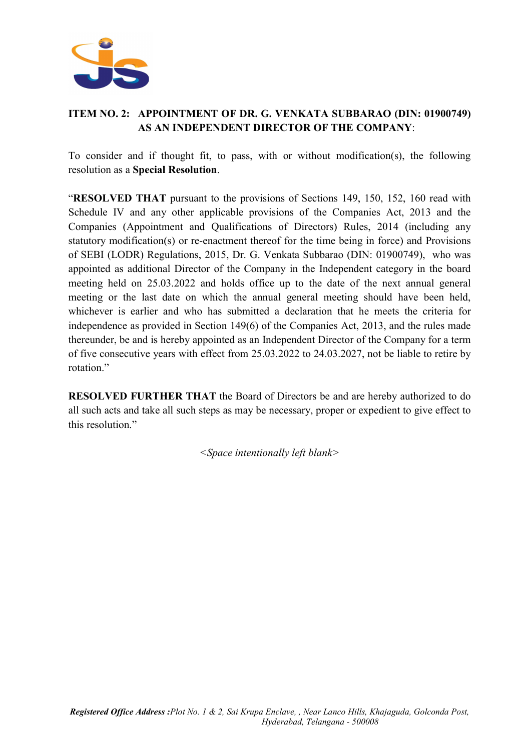

### ITEM NO. 2: APPOINTMENT OF DR. G. VENKATA SUBBARAO (DIN: 01900749) AS AN INDEPENDENT DIRECTOR OF THE COMPANY:

To consider and if thought fit, to pass, with or without modification(s), the following resolution as a Special Resolution.

"RESOLVED THAT pursuant to the provisions of Sections 149, 150, 152, 160 read with Schedule IV and any other applicable provisions of the Companies Act, 2013 and the Companies (Appointment and Qualifications of Directors) Rules, 2014 (including any statutory modification(s) or re-enactment thereof for the time being in force) and Provisions of SEBI (LODR) Regulations, 2015, Dr. G. Venkata Subbarao (DIN: 01900749), who was appointed as additional Director of the Company in the Independent category in the board meeting held on 25.03.2022 and holds office up to the date of the next annual general meeting or the last date on which the annual general meeting should have been held, whichever is earlier and who has submitted a declaration that he meets the criteria for independence as provided in Section 149(6) of the Companies Act, 2013, and the rules made thereunder, be and is hereby appointed as an Independent Director of the Company for a term of five consecutive years with effect from 25.03.2022 to 24.03.2027, not be liable to retire by rotation."

RESOLVED FURTHER THAT the Board of Directors be and are hereby authorized to do all such acts and take all such steps as may be necessary, proper or expedient to give effect to this resolution."

<Space intentionally left blank>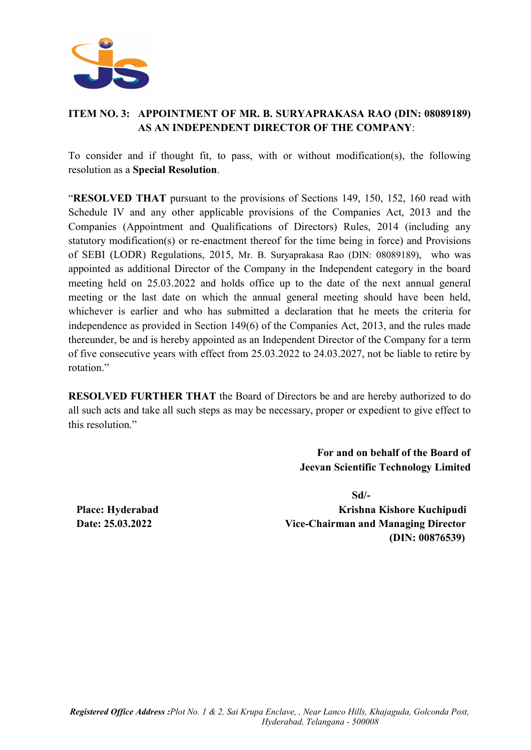

### ITEM NO. 3: APPOINTMENT OF MR. B. SURYAPRAKASA RAO (DIN: 08089189) AS AN INDEPENDENT DIRECTOR OF THE COMPANY:

To consider and if thought fit, to pass, with or without modification(s), the following resolution as a Special Resolution.

"RESOLVED THAT pursuant to the provisions of Sections 149, 150, 152, 160 read with Schedule IV and any other applicable provisions of the Companies Act, 2013 and the Companies (Appointment and Qualifications of Directors) Rules, 2014 (including any statutory modification(s) or re-enactment thereof for the time being in force) and Provisions of SEBI (LODR) Regulations, 2015, Mr. B. Suryaprakasa Rao (DIN: 08089189), who was appointed as additional Director of the Company in the Independent category in the board meeting held on 25.03.2022 and holds office up to the date of the next annual general meeting or the last date on which the annual general meeting should have been held, whichever is earlier and who has submitted a declaration that he meets the criteria for independence as provided in Section 149(6) of the Companies Act, 2013, and the rules made thereunder, be and is hereby appointed as an Independent Director of the Company for a term of five consecutive years with effect from 25.03.2022 to 24.03.2027, not be liable to retire by rotation."

RESOLVED FURTHER THAT the Board of Directors be and are hereby authorized to do all such acts and take all such steps as may be necessary, proper or expedient to give effect to this resolution."

> For and on behalf of the Board of Jeevan Scientific Technology Limited

 Sd/- Place: Hyderabad Krishna Kishore Kuchipudi Date: 25.03.2022 Vice-Chairman and Managing Director (DIN: 00876539)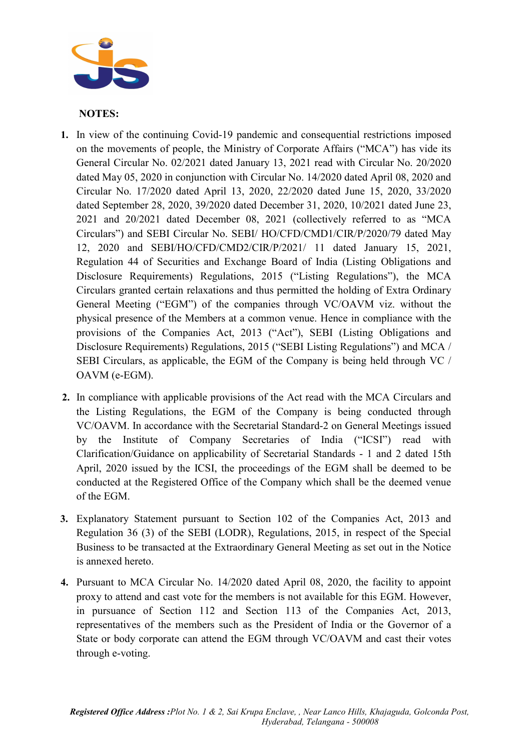

#### NOTES:

- 1. In view of the continuing Covid-19 pandemic and consequential restrictions imposed on the movements of people, the Ministry of Corporate Affairs ("MCA") has vide its General Circular No. 02/2021 dated January 13, 2021 read with Circular No. 20/2020 dated May 05, 2020 in conjunction with Circular No. 14/2020 dated April 08, 2020 and Circular No. 17/2020 dated April 13, 2020, 22/2020 dated June 15, 2020, 33/2020 dated September 28, 2020, 39/2020 dated December 31, 2020, 10/2021 dated June 23, 2021 and 20/2021 dated December 08, 2021 (collectively referred to as "MCA Circulars") and SEBI Circular No. SEBI/ HO/CFD/CMD1/CIR/P/2020/79 dated May 12, 2020 and SEBI/HO/CFD/CMD2/CIR/P/2021/ 11 dated January 15, 2021, Regulation 44 of Securities and Exchange Board of India (Listing Obligations and Disclosure Requirements) Regulations, 2015 ("Listing Regulations"), the MCA Circulars granted certain relaxations and thus permitted the holding of Extra Ordinary General Meeting ("EGM") of the companies through VC/OAVM viz. without the physical presence of the Members at a common venue. Hence in compliance with the provisions of the Companies Act, 2013 ("Act"), SEBI (Listing Obligations and Disclosure Requirements) Regulations, 2015 ("SEBI Listing Regulations") and MCA / SEBI Circulars, as applicable, the EGM of the Company is being held through VC / OAVM (e-EGM).
- 2. In compliance with applicable provisions of the Act read with the MCA Circulars and the Listing Regulations, the EGM of the Company is being conducted through VC/OAVM. In accordance with the Secretarial Standard-2 on General Meetings issued by the Institute of Company Secretaries of India ("ICSI") read with Clarification/Guidance on applicability of Secretarial Standards - 1 and 2 dated 15th April, 2020 issued by the ICSI, the proceedings of the EGM shall be deemed to be conducted at the Registered Office of the Company which shall be the deemed venue of the EGM.
- 3. Explanatory Statement pursuant to Section 102 of the Companies Act, 2013 and Regulation 36 (3) of the SEBI (LODR), Regulations, 2015, in respect of the Special Business to be transacted at the Extraordinary General Meeting as set out in the Notice is annexed hereto.
- 4. Pursuant to MCA Circular No. 14/2020 dated April 08, 2020, the facility to appoint proxy to attend and cast vote for the members is not available for this EGM. However, in pursuance of Section 112 and Section 113 of the Companies Act, 2013, representatives of the members such as the President of India or the Governor of a State or body corporate can attend the EGM through VC/OAVM and cast their votes through e-voting.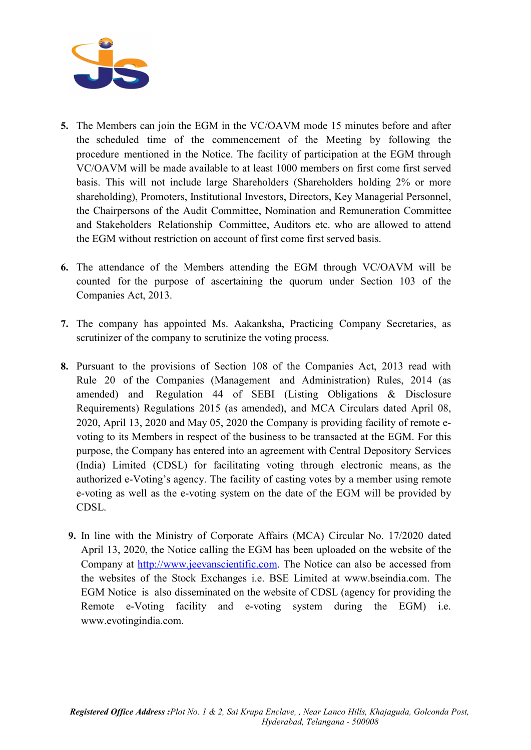

- 5. The Members can join the EGM in the VC/OAVM mode 15 minutes before and after the scheduled time of the commencement of the Meeting by following the procedure mentioned in the Notice. The facility of participation at the EGM through VC/OAVM will be made available to at least 1000 members on first come first served basis. This will not include large Shareholders (Shareholders holding 2% or more shareholding), Promoters, Institutional Investors, Directors, Key Managerial Personnel, the Chairpersons of the Audit Committee, Nomination and Remuneration Committee and Stakeholders Relationship Committee, Auditors etc. who are allowed to attend the EGM without restriction on account of first come first served basis.
- 6. The attendance of the Members attending the EGM through VC/OAVM will be counted for the purpose of ascertaining the quorum under Section 103 of the Companies Act, 2013.
- 7. The company has appointed Ms. Aakanksha, Practicing Company Secretaries, as scrutinizer of the company to scrutinize the voting process.
- 8. Pursuant to the provisions of Section 108 of the Companies Act, 2013 read with Rule 20 of the Companies (Management and Administration) Rules, 2014 (as amended) and Regulation 44 of SEBI (Listing Obligations & Disclosure Requirements) Regulations 2015 (as amended), and MCA Circulars dated April 08, 2020, April 13, 2020 and May 05, 2020 the Company is providing facility of remote evoting to its Members in respect of the business to be transacted at the EGM. For this purpose, the Company has entered into an agreement with Central Depository Services (India) Limited (CDSL) for facilitating voting through electronic means, as the authorized e-Voting's agency. The facility of casting votes by a member using remote e-voting as well as the e-voting system on the date of the EGM will be provided by CDSL.
	- 9. In line with the Ministry of Corporate Affairs (MCA) Circular No. 17/2020 dated April 13, 2020, the Notice calling the EGM has been uploaded on the website of the Company at http://www.jeevanscientific.com. The Notice can also be accessed from the websites of the Stock Exchanges i.e. BSE Limited at www.bseindia.com. The EGM Notice is also disseminated on the website of CDSL (agency for providing the Remote e-Voting facility and e-voting system during the EGM) i.e. www.evotingindia.com.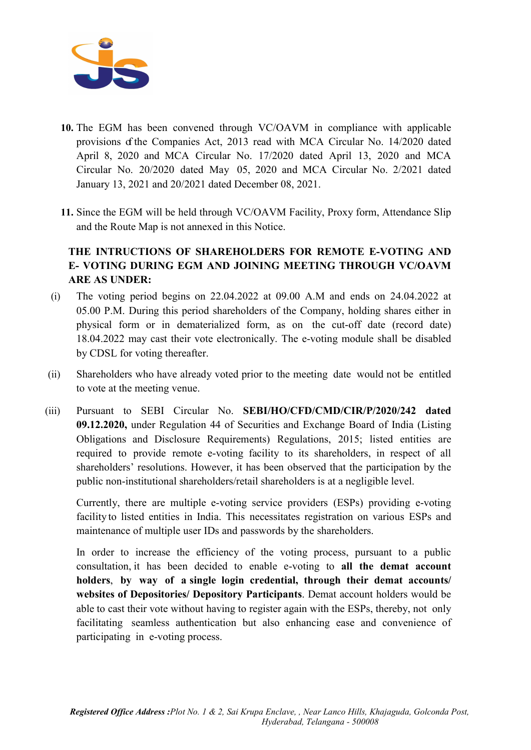

- 10. The EGM has been convened through VC/OAVM in compliance with applicable provisions of the Companies Act, 2013 read with MCA Circular No. 14/2020 dated April 8, 2020 and MCA Circular No. 17/2020 dated April 13, 2020 and MCA Circular No. 20/2020 dated May 05, 2020 and MCA Circular No. 2/2021 dated January 13, 2021 and 20/2021 dated December 08, 2021.
- 11. Since the EGM will be held through VC/OAVM Facility, Proxy form, Attendance Slip and the Route Map is not annexed in this Notice.

# THE INTRUCTIONS OF SHAREHOLDERS FOR REMOTE E-VOTING AND E- VOTING DURING EGM AND JOINING MEETING THROUGH VC/OAVM ARE AS UNDER:

- (i) The voting period begins on 22.04.2022 at 09.00 A.M and ends on 24.04.2022 at 05.00 P.M. During this period shareholders of the Company, holding shares either in physical form or in dematerialized form, as on the cut-off date (record date) 18.04.2022 may cast their vote electronically. The e-voting module shall be disabled by CDSL for voting thereafter.
- (ii) Shareholders who have already voted prior to the meeting date would not be entitled to vote at the meeting venue.
- (iii) Pursuant to SEBI Circular No. SEBI/HO/CFD/CMD/CIR/P/2020/242 dated 09.12.2020, under Regulation 44 of Securities and Exchange Board of India (Listing Obligations and Disclosure Requirements) Regulations, 2015; listed entities are required to provide remote e-voting facility to its shareholders, in respect of all shareholders' resolutions. However, it has been observed that the participation by the public non-institutional shareholders/retail shareholders is at a negligible level.

Currently, there are multiple e-voting service providers (ESPs) providing e-voting facility to listed entities in India. This necessitates registration on various ESPs and maintenance of multiple user IDs and passwords by the shareholders.

In order to increase the efficiency of the voting process, pursuant to a public consultation, it has been decided to enable e-voting to all the demat account holders, by way of a single login credential, through their demat accounts/ websites of Depositories/ Depository Participants. Demat account holders would be able to cast their vote without having to register again with the ESPs, thereby, not only facilitating seamless authentication but also enhancing ease and convenience of participating in e-voting process.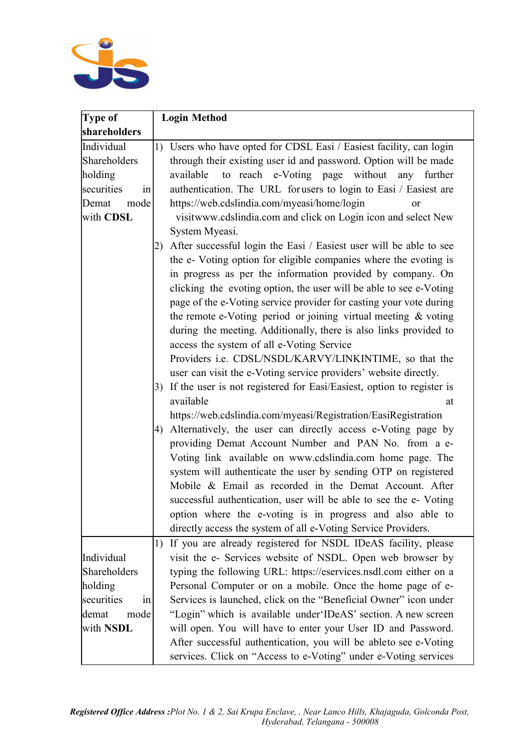

| Type of          | <b>Login Method</b>                                                      |  |
|------------------|--------------------------------------------------------------------------|--|
| shareholders     |                                                                          |  |
| Individual       | 1) Users who have opted for CDSL Easi / Easiest facility, can login      |  |
| Shareholders     | through their existing user id and password. Option will be made         |  |
| holding          | to reach e-Voting page without any further<br>available                  |  |
| securities<br>in | authentication. The URL for users to login to Easi / Easiest are         |  |
| mode<br>Demat    | https://web.cdslindia.com/myeasi/home/login<br><sub>or</sub>             |  |
| with CDSL        | visitwww.cdslindia.com and click on Login icon and select New            |  |
|                  | System Myeasi.                                                           |  |
|                  | 2) After successful login the Easi / Easiest user will be able to see    |  |
|                  | the e- Voting option for eligible companies where the evoting is         |  |
|                  | in progress as per the information provided by company. On               |  |
|                  | clicking the evoting option, the user will be able to see e-Voting       |  |
|                  | page of the e-Voting service provider for casting your vote during       |  |
|                  | the remote e-Voting period or joining virtual meeting & voting           |  |
|                  | during the meeting. Additionally, there is also links provided to        |  |
|                  | access the system of all e-Voting Service                                |  |
|                  | Providers i.e. CDSL/NSDL/KARVY/LINKINTIME, so that the                   |  |
|                  | user can visit the e-Voting service providers' website directly.         |  |
|                  | 3) If the user is not registered for Easi/Easiest, option to register is |  |
|                  | available<br>at                                                          |  |
|                  | https://web.cdslindia.com/myeasi/Registration/EasiRegistration           |  |
|                  | 4) Alternatively, the user can directly access e-Voting page by          |  |
|                  | providing Demat Account Number and PAN No. from a e-                     |  |
|                  | Voting link available on www.cdslindia.com home page. The                |  |
|                  | system will authenticate the user by sending OTP on registered           |  |
|                  | Mobile & Email as recorded in the Demat Account. After                   |  |
|                  | successful authentication, user will be able to see the e- Voting        |  |
|                  | option where the e-voting is in progress and also able to                |  |
|                  | directly access the system of all e-Voting Service Providers.            |  |
|                  | If you are already registered for NSDL IDeAS facility, please<br>1)      |  |
| Individual       | visit the e- Services website of NSDL. Open web browser by               |  |
| Shareholders     | typing the following URL: https://eservices.nsdl.com either on a         |  |
| holding          | Personal Computer or on a mobile. Once the home page of e-               |  |
| securities<br>in | Services is launched, click on the "Beneficial Owner" icon under         |  |
| mode<br>demat    | "Login" which is available under 'IDeAS' section. A new screen           |  |
| with <b>NSDL</b> | will open. You will have to enter your User ID and Password.             |  |
|                  | After successful authentication, you will be ableto see e-Voting         |  |
|                  | services. Click on "Access to e-Voting" under e-Voting services          |  |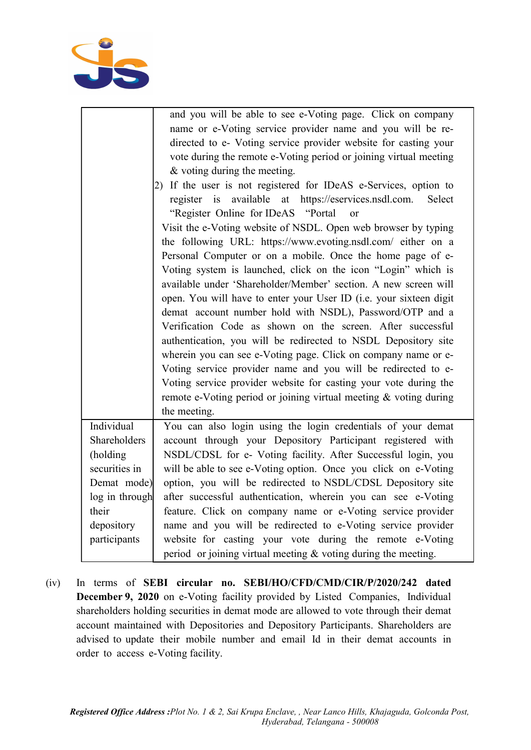

|                                                                    | and you will be able to see e-Voting page. Click on company       |  |  |
|--------------------------------------------------------------------|-------------------------------------------------------------------|--|--|
|                                                                    | name or e-Voting service provider name and you will be re-        |  |  |
|                                                                    | directed to e- Voting service provider website for casting your   |  |  |
|                                                                    | vote during the remote e-Voting period or joining virtual meeting |  |  |
|                                                                    | & voting during the meeting.                                      |  |  |
|                                                                    | 2) If the user is not registered for IDeAS e-Services, option to  |  |  |
|                                                                    | register is available at https://eservices.nsdl.com.<br>Select    |  |  |
|                                                                    | "Register Online for IDeAS "Portal"<br>or                         |  |  |
|                                                                    | Visit the e-Voting website of NSDL. Open web browser by typing    |  |  |
|                                                                    | the following URL: https://www.evoting.nsdl.com/ either on a      |  |  |
|                                                                    | Personal Computer or on a mobile. Once the home page of e-        |  |  |
| Voting system is launched, click on the icon "Login" which is      |                                                                   |  |  |
| available under 'Shareholder/Member' section. A new screen will    |                                                                   |  |  |
| open. You will have to enter your User ID (i.e. your sixteen digit |                                                                   |  |  |
| demat account number hold with NSDL), Password/OTP and a           |                                                                   |  |  |
|                                                                    | Verification Code as shown on the screen. After successful        |  |  |
|                                                                    | authentication, you will be redirected to NSDL Depository site    |  |  |
|                                                                    | wherein you can see e-Voting page. Click on company name or e-    |  |  |
|                                                                    | Voting service provider name and you will be redirected to e-     |  |  |
|                                                                    | Voting service provider website for casting your vote during the  |  |  |
|                                                                    | remote e-Voting period or joining virtual meeting & voting during |  |  |
|                                                                    | the meeting.                                                      |  |  |
| Individual                                                         | You can also login using the login credentials of your demat      |  |  |
| Shareholders                                                       | account through your Depository Participant registered with       |  |  |
| (holding                                                           | NSDL/CDSL for e- Voting facility. After Successful login, you     |  |  |
| securities in                                                      | will be able to see e-Voting option. Once you click on e-Voting   |  |  |
| Demat mode)                                                        | option, you will be redirected to NSDL/CDSL Depository site       |  |  |
| log in through                                                     | after successful authentication, wherein you can see e-Voting     |  |  |
| their                                                              | feature. Click on company name or e-Voting service provider       |  |  |
| depository                                                         | name and you will be redirected to e-Voting service provider      |  |  |
| participants                                                       | website for casting your vote during the remote e-Voting          |  |  |
|                                                                    | period or joining virtual meeting $&$ voting during the meeting.  |  |  |

(iv) In terms of SEBI circular no. SEBI/HO/CFD/CMD/CIR/P/2020/242 dated December 9, 2020 on e-Voting facility provided by Listed Companies, Individual shareholders holding securities in demat mode are allowed to vote through their demat account maintained with Depositories and Depository Participants. Shareholders are advised to update their mobile number and email Id in their demat accounts in order to access e- Voting facility.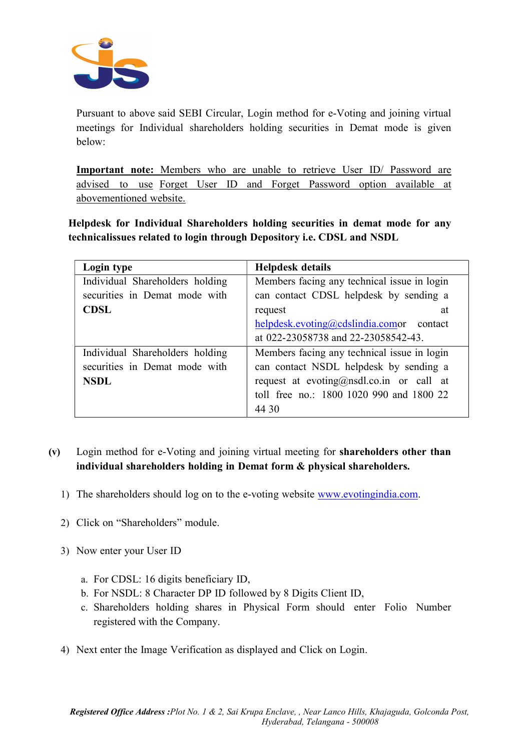

Pursuant to above said SEBI Circular, Login method for e-Voting and joining virtual meetings for Individual shareholders holding securities in Demat mode is given below:

Important note: Members who are unable to retrieve User ID/ Password are advised to use Forget User ID and Forget Password option available at abovementioned website.

Helpdesk for Individual Shareholders holding securities in demat mode for any technicalissues related to login through Depository i.e. CDSL and NSDL

| Login type                      | <b>Helpdesk details</b>                     |  |
|---------------------------------|---------------------------------------------|--|
| Individual Shareholders holding | Members facing any technical issue in login |  |
| securities in Demat mode with   | can contact CDSL helpdesk by sending a      |  |
| <b>CDSL</b>                     | request<br>at                               |  |
|                                 | helpdesk.evoting@cdslindia.comor contact    |  |
|                                 | at 022-23058738 and 22-23058542-43.         |  |
| Individual Shareholders holding | Members facing any technical issue in login |  |
| securities in Demat mode with   | can contact NSDL helpdesk by sending a      |  |
| <b>NSDL</b>                     | request at evoting@nsdl.co.in or call at    |  |
|                                 | toll free no.: 1800 1020 990 and 1800 22    |  |
|                                 | 44 30                                       |  |

### (v) Login method for e-Voting and joining virtual meeting for shareholders other than individual shareholders holding in Demat form & physical shareholders.

- 1) The shareholders should log on to the e-voting website www.evotingindia.com.
- 2) Click on "Shareholders" module.
- 3) Now enter your User ID
	- a. For CDSL: 16 digits beneficiary ID,
	- b. For NSDL: 8 Character DP ID followed by 8 Digits Client ID,
	- c. Shareholders holding shares in Physical Form should enter Folio Number registered with the Company.
- 4) Next enter the Image Verification as displayed and Click on Login.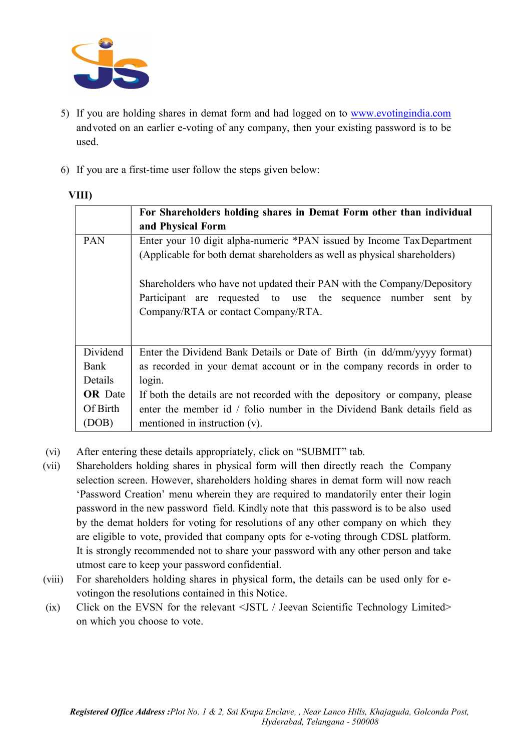

- 5) If you are holding shares in demat form and had logged on to www.evotingindia.com and voted on an earlier e-voting of any company, then your existing password is to be used.
- 6) If you are a first-time user follow the steps given below:

|                | For Shareholders holding shares in Demat Form other than individual                                                                                                            |  |
|----------------|--------------------------------------------------------------------------------------------------------------------------------------------------------------------------------|--|
|                | and Physical Form                                                                                                                                                              |  |
| <b>PAN</b>     | Enter your 10 digit alpha-numeric *PAN issued by Income Tax Department<br>(Applicable for both demat shareholders as well as physical shareholders)                            |  |
|                | Shareholders who have not updated their PAN with the Company/Depository<br>Participant are requested to use the sequence number sent by<br>Company/RTA or contact Company/RTA. |  |
| Dividend       | Enter the Dividend Bank Details or Date of Birth (in dd/mm/yyyy format)                                                                                                        |  |
| Bank           | as recorded in your demat account or in the company records in order to                                                                                                        |  |
| Details        | login.                                                                                                                                                                         |  |
| <b>OR</b> Date | If both the details are not recorded with the depository or company, please                                                                                                    |  |
| Of Birth       | enter the member id / folio number in the Dividend Bank details field as                                                                                                       |  |
| (DOB)          | mentioned in instruction $(v)$ .                                                                                                                                               |  |

- (vi) After entering these details appropriately, click on "SUBMIT" tab.
- (vii) Shareholders holding shares in physical form will then directly reach the Company selection screen. However, shareholders holding shares in demat form will now reach 'Password Creation' menu wherein they are required to mandatorily enter their login password in the new password field. Kindly note that this password is to be also used by the demat holders for voting for resolutions of any other company on which they are eligible to vote, provided that company opts for e-voting through CDSL platform. It is strongly recommended not to share your password with any other person and take utmost care to keep your password confidential.
- (viii) For shareholders holding shares in physical form, the details can be used only for evoting on the resolutions contained in this Notice.
- (ix) Click on the EVSN for the relevant <JSTL / Jeevan Scientific Technology Limited> on which you choose to vote.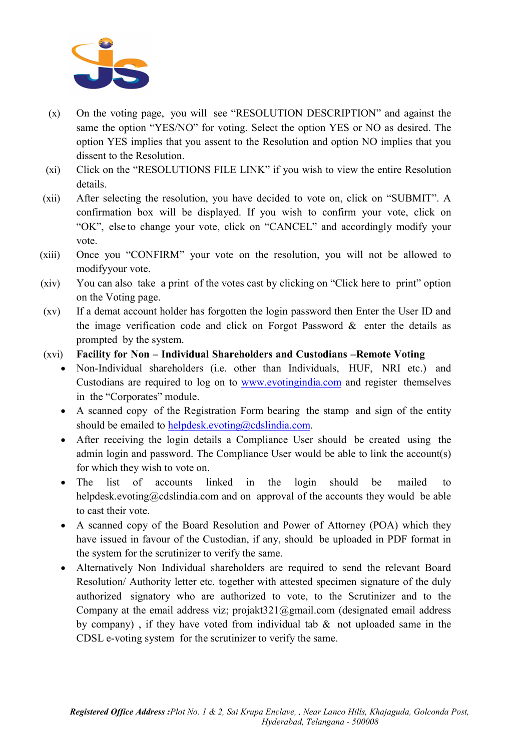

- (x) On the voting page, you will see "RESOLUTION DESCRIPTION" and against the same the option "YES/NO" for voting. Select the option YES or NO as desired. The option YES implies that you assent to the Resolution and option NO implies that you dissent to the Resolution.
- (xi) Click on the "RESOLUTIONS FILE LINK" if you wish to view the entire Resolution details.
- (xii) After selecting the resolution, you have decided to vote on, click on "SUBMIT". A confirmation box will be displayed. If you wish to confirm your vote, click on "OK", else to change your vote, click on "CANCEL" and accordingly modify your vote.
- (xiii) Once you "CONFIRM" your vote on the resolution, you will not be allowed to modify your vote.
- (xiv) You can also take a print of the votes cast by clicking on "Click here to print" option on the Voting page.
- (xv) If a demat account holder has forgotten the login password then Enter the User ID and the image verification code and click on Forgot Password  $\&$  enter the details as prompted by the system.
- (xvi) Facility for Non Individual Shareholders and Custodians –Remote Voting
	- Non-Individual shareholders (i.e. other than Individuals, HUF, NRI etc.) and Custodians are required to log on to www.evotingindia.com and register themselves in the "Corporates" module.
	- A scanned copy of the Registration Form bearing the stamp and sign of the entity should be emailed to helpdesk.evoting@cdslindia.com.
	- After receiving the login details a Compliance User should be created using the admin login and password. The Compliance User would be able to link the account(s) for which they wish to vote on.
	- The list of accounts linked in the login should be mailed to helpdesk.evoting@cdslindia.com and on approval of the accounts they would be able to cast their vote.
	- A scanned copy of the Board Resolution and Power of Attorney (POA) which they have issued in favour of the Custodian, if any, should be uploaded in PDF format in the system for the scrutinizer to verify the same.
	- Alternatively Non Individual shareholders are required to send the relevant Board Resolution/ Authority letter etc. together with attested specimen signature of the duly authorized signatory who are authorized to vote, to the Scrutinizer and to the Company at the email address viz; projakt  $321$  @gmail.com (designated email address by company) , if they have voted from individual tab & not uploaded same in the CDSL e-voting system for the scrutinizer to verify the same.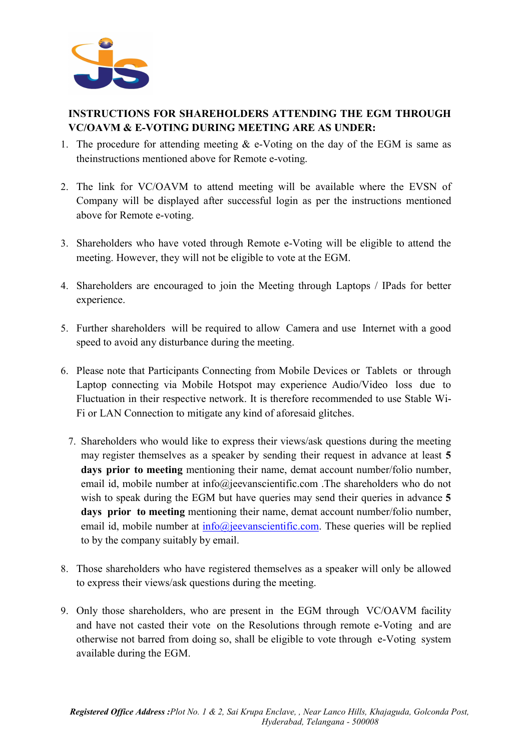

# INSTRUCTIONS FOR SHAREHOLDERS ATTENDING THE EGM THROUGH VC/OAVM & E-VOTING DURING MEETING ARE AS UNDER:

- 1. The procedure for attending meeting  $\&$  e-Voting on the day of the EGM is same as the instructions mentioned above for Remote e-voting.
- 2. The link for VC/OAVM to attend meeting will be available where the EVSN of Company will be displayed after successful login as per the instructions mentioned above for Remote e-voting.
- 3. Shareholders who have voted through Remote e-Voting will be eligible to attend the meeting. However, they will not be eligible to vote at the EGM.
- 4. Shareholders are encouraged to join the Meeting through Laptops / IPads for better experience.
- 5. Further shareholders will be required to allow Camera and use Internet with a good speed to avoid any disturbance during the meeting.
- 6. Please note that Participants Connecting from Mobile Devices or Tablets or through Laptop connecting via Mobile Hotspot may experience Audio/Video loss due to Fluctuation in their respective network. It is therefore recommended to use Stable Wi-Fi or LAN Connection to mitigate any kind of aforesaid glitches.
	- 7. Shareholders who would like to express their views/ask questions during the meeting may register themselves as a speaker by sending their request in advance at least 5 days prior to meeting mentioning their name, demat account number/folio number, email id, mobile number at info@jeevanscientific.com .The shareholders who do not wish to speak during the EGM but have queries may send their queries in advance 5 days prior to meeting mentioning their name, demat account number/folio number, email id, mobile number at  $info@ieevanscientific.com$ . These queries will be replied to by the company suitably by email.
- 8. Those shareholders who have registered themselves as a speaker will only be allowed to express their views/ask questions during the meeting.
- 9. Only those shareholders, who are present in the EGM through VC/OAVM facility and have not casted their vote on the Resolutions through remote e-Voting and are otherwise not barred from doing so, shall be eligible to vote through e-Voting system available during the EGM.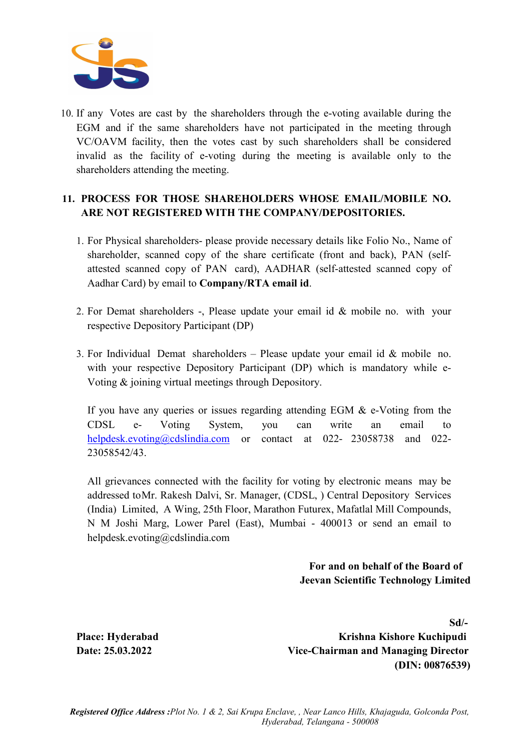

10. If any Votes are cast by the shareholders through the e-voting available during the EGM and if the same shareholders have not participated in the meeting through VC/OAVM facility, then the votes cast by such shareholders shall be considered invalid as the facility of e-voting during the meeting is available only to the shareholders attending the meeting.

### 11. PROCESS FOR THOSE SHAREHOLDERS WHOSE EMAIL/MOBILE NO. ARE NOT REGISTERED WITH THE COMPANY/DEPOSITORIES.

- 1. For Physical shareholders- please provide necessary details like Folio No., Name of shareholder, scanned copy of the share certificate (front and back), PAN (selfattested scanned copy of PAN card), AADHAR (self-attested scanned copy of Aadhar Card) by email to Company/RTA email id.
- 2. For Demat shareholders -, Please update your email id & mobile no. with your respective Depository Participant (DP)
- 3. For Individual Demat shareholders Please update your email id  $&$  mobile no. with your respective Depository Participant (DP) which is mandatory while e-Voting & joining virtual meetings through Depository.

If you have any queries or issues regarding attending EGM & e-Voting from the CDSL e- Voting System, you can write an email to helpdesk.evoting@cdslindia.com or contact at 022- 23058738 and 022-23058542/43.

All grievances connected with the facility for voting by electronic means may be addressed to Mr. Rakesh Dalvi, Sr. Manager, (CDSL, ) Central Depository Services (India) Limited, A Wing, 25th Floor, Marathon Futurex, Mafatlal Mill Compounds, N M Joshi Marg, Lower Parel (East), Mumbai - 400013 or send an email to helpdesk.evoting@cdslindia.com

> For and on behalf of the Board of Jeevan Scientific Technology Limited

 Sd/- Place: Hyderabad Krishna Kishore Kuchipudi Date: 25.03.2022 Vice-Chairman and Managing Director (DIN: 00876539)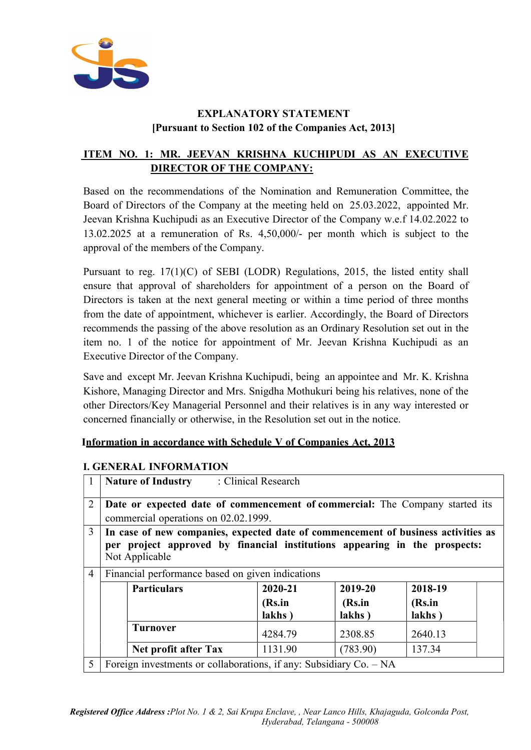

# EXPLANATORY STATEMENT [Pursuant to Section 102 of the Companies Act, 2013]

# ITEM NO. 1: MR. JEEVAN KRISHNA KUCHIPUDI AS AN EXECUTIVE DIRECTOR OF THE COMPANY:

Based on the recommendations of the Nomination and Remuneration Committee, the Board of Directors of the Company at the meeting held on 25.03.2022, appointed Mr. Jeevan Krishna Kuchipudi as an Executive Director of the Company w.e.f 14.02.2022 to 13.02.2025 at a remuneration of Rs. 4,50,000/- per month which is subject to the approval of the members of the Company.

Pursuant to reg. 17(1)(C) of SEBI (LODR) Regulations, 2015, the listed entity shall ensure that approval of shareholders for appointment of a person on the Board of Directors is taken at the next general meeting or within a time period of three months from the date of appointment, whichever is earlier. Accordingly, the Board of Directors recommends the passing of the above resolution as an Ordinary Resolution set out in the item no. 1 of the notice for appointment of Mr. Jeevan Krishna Kuchipudi as an Executive Director of the Company.

Save and except Mr. Jeevan Krishna Kuchipudi, being an appointee and Mr. K. Krishna Kishore, Managing Director and Mrs. Snigdha Mothukuri being his relatives, none of the other Directors/Key Managerial Personnel and their relatives is in any way interested or concerned financially or otherwise, in the Resolution set out in the notice.

#### Information in accordance with Schedule V of Companies Act, 2013

#### I. GENERAL INFORMATION

|                | <b>Nature of Industry</b>                                                                                                                                                         | : Clinical Research |                  |                  |
|----------------|-----------------------------------------------------------------------------------------------------------------------------------------------------------------------------------|---------------------|------------------|------------------|
| $\overline{2}$ | Date or expected date of commencement of commercial: The Company started its<br>commercial operations on 02.02.1999.                                                              |                     |                  |                  |
| $\overline{3}$ | In case of new companies, expected date of commencement of business activities as<br>per project approved by financial institutions appearing in the prospects:<br>Not Applicable |                     |                  |                  |
| $\overline{4}$ | Financial performance based on given indications                                                                                                                                  |                     |                  |                  |
|                | <b>Particulars</b>                                                                                                                                                                | 2020-21             | 2019-20          | 2018-19          |
|                |                                                                                                                                                                                   | (Rs.in<br>lakhs)    | (Rs.in<br>lakhs) | (Rs.in<br>lakhs) |
|                | <b>Turnover</b>                                                                                                                                                                   | 4284.79             | 2308.85          | 2640.13          |
|                | Net profit after Tax                                                                                                                                                              | 1131.90             | (783.90)         | 137.34           |
| 5              | Foreign investments or collaborations, if any: Subsidiary $Co. - NA$                                                                                                              |                     |                  |                  |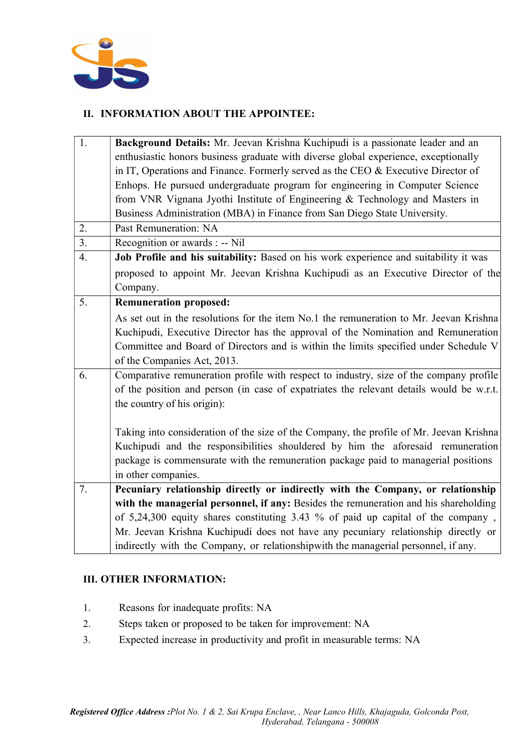

### II. INFORMATION ABOUT THE APPOINTEE:

| 1. | Background Details: Mr. Jeevan Krishna Kuchipudi is a passionate leader and an          |
|----|-----------------------------------------------------------------------------------------|
|    | enthusiastic honors business graduate with diverse global experience, exceptionally     |
|    | in IT, Operations and Finance. Formerly served as the CEO & Executive Director of       |
|    | Enhops. He pursued undergraduate program for engineering in Computer Science            |
|    | from VNR Vignana Jyothi Institute of Engineering & Technology and Masters in            |
|    | Business Administration (MBA) in Finance from San Diego State University.               |
| 2. | Past Remuneration: NA                                                                   |
| 3. | Recognition or awards : -- Nil                                                          |
| 4. | Job Profile and his suitability: Based on his work experience and suitability it was    |
|    | proposed to appoint Mr. Jeevan Krishna Kuchipudi as an Executive Director of the        |
|    | Company.                                                                                |
| 5. | <b>Remuneration proposed:</b>                                                           |
|    | As set out in the resolutions for the item No.1 the remuneration to Mr. Jeevan Krishna  |
|    | Kuchipudi, Executive Director has the approval of the Nomination and Remuneration       |
|    | Committee and Board of Directors and is within the limits specified under Schedule V    |
|    | of the Companies Act, 2013.                                                             |
| 6. | Comparative remuneration profile with respect to industry, size of the company profile  |
|    | of the position and person (in case of expatriates the relevant details would be w.r.t. |
|    | the country of his origin):                                                             |
|    |                                                                                         |
|    | Taking into consideration of the size of the Company, the profile of Mr. Jeevan Krishna |
|    | Kuchipudi and the responsibilities shouldered by him the aforesaid remuneration         |
|    | package is commensurate with the remuneration package paid to managerial positions      |
|    | in other companies.                                                                     |
| 7. | Pecuniary relationship directly or indirectly with the Company, or relationship         |
|    | with the managerial personnel, if any: Besides the remuneration and his shareholding    |
|    | of 5,24,300 equity shares constituting 3.43 % of paid up capital of the company,        |
|    | Mr. Jeevan Krishna Kuchipudi does not have any pecuniary relationship directly or       |
|    | indirectly with the Company, or relationshipwith the managerial personnel, if any.      |

#### III. OTHER INFORMATION:

- 1. Reasons for inadequate profits: NA
- 2. Steps taken or proposed to be taken for improvement: NA
- 3. Expected increase in productivity and profit in measurable terms: NA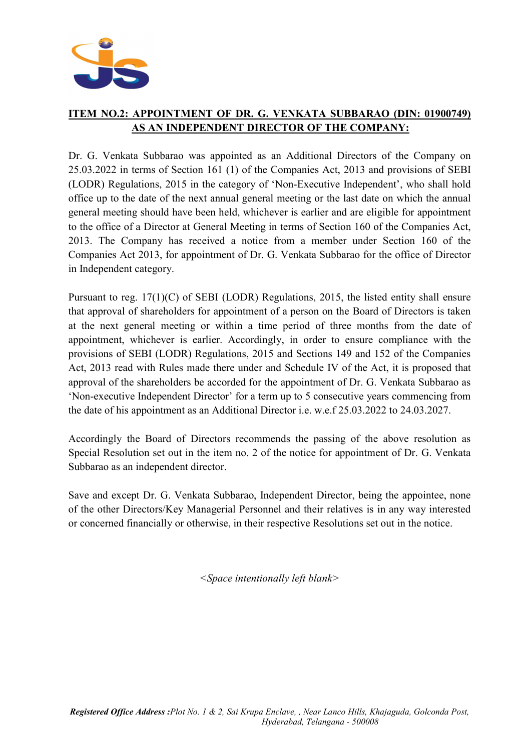

# ITEM NO.2: APPOINTMENT OF DR. G. VENKATA SUBBARAO (DIN: 01900749) AS AN INDEPENDENT DIRECTOR OF THE COMPANY:

Dr. G. Venkata Subbarao was appointed as an Additional Directors of the Company on 25.03.2022 in terms of Section 161 (1) of the Companies Act, 2013 and provisions of SEBI (LODR) Regulations, 2015 in the category of 'Non-Executive Independent', who shall hold office up to the date of the next annual general meeting or the last date on which the annual general meeting should have been held, whichever is earlier and are eligible for appointment to the office of a Director at General Meeting in terms of Section 160 of the Companies Act, 2013. The Company has received a notice from a member under Section 160 of the Companies Act 2013, for appointment of Dr. G. Venkata Subbarao for the office of Director in Independent category.

Pursuant to reg. 17(1)(C) of SEBI (LODR) Regulations, 2015, the listed entity shall ensure that approval of shareholders for appointment of a person on the Board of Directors is taken at the next general meeting or within a time period of three months from the date of appointment, whichever is earlier. Accordingly, in order to ensure compliance with the provisions of SEBI (LODR) Regulations, 2015 and Sections 149 and 152 of the Companies Act, 2013 read with Rules made there under and Schedule IV of the Act, it is proposed that approval of the shareholders be accorded for the appointment of Dr. G. Venkata Subbarao as 'Non-executive Independent Director' for a term up to 5 consecutive years commencing from the date of his appointment as an Additional Director i.e. w.e.f 25.03.2022 to 24.03.2027.

Accordingly the Board of Directors recommends the passing of the above resolution as Special Resolution set out in the item no. 2 of the notice for appointment of Dr. G. Venkata Subbarao as an independent director.

Save and except Dr. G. Venkata Subbarao, Independent Director, being the appointee, none of the other Directors/Key Managerial Personnel and their relatives is in any way interested or concerned financially or otherwise, in their respective Resolutions set out in the notice.

<Space intentionally left blank>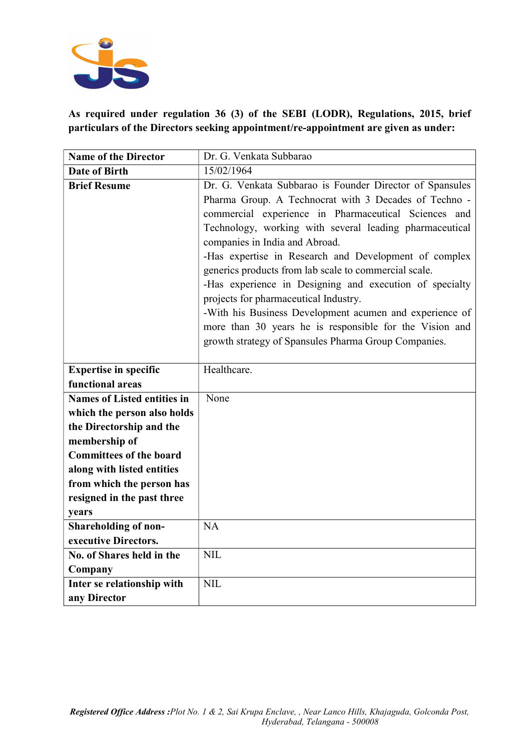

As required under regulation 36 (3) of the SEBI (LODR), Regulations, 2015, brief particulars of the Directors seeking appointment/re-appointment are given as under:

| <b>Name of the Director</b>        | Dr. G. Venkata Subbarao                                  |
|------------------------------------|----------------------------------------------------------|
| <b>Date of Birth</b>               | 15/02/1964                                               |
| <b>Brief Resume</b>                | Dr. G. Venkata Subbarao is Founder Director of Spansules |
|                                    | Pharma Group. A Technocrat with 3 Decades of Techno -    |
|                                    | commercial experience in Pharmaceutical Sciences and     |
|                                    | Technology, working with several leading pharmaceutical  |
|                                    | companies in India and Abroad.                           |
|                                    | -Has expertise in Research and Development of complex    |
|                                    | generics products from lab scale to commercial scale.    |
|                                    | -Has experience in Designing and execution of specialty  |
|                                    | projects for pharmaceutical Industry.                    |
|                                    | -With his Business Development acumen and experience of  |
|                                    | more than 30 years he is responsible for the Vision and  |
|                                    | growth strategy of Spansules Pharma Group Companies.     |
|                                    |                                                          |
| <b>Expertise in specific</b>       | Healthcare.                                              |
| functional areas                   |                                                          |
| <b>Names of Listed entities in</b> | None                                                     |
| which the person also holds        |                                                          |
| the Directorship and the           |                                                          |
| membership of                      |                                                          |
| <b>Committees of the board</b>     |                                                          |
| along with listed entities         |                                                          |
| from which the person has          |                                                          |
| resigned in the past three         |                                                          |
| years                              |                                                          |
| Shareholding of non-               | <b>NA</b>                                                |
| executive Directors.               |                                                          |
| No. of Shares held in the          | <b>NIL</b>                                               |
| Company                            |                                                          |
| Inter se relationship with         | <b>NIL</b>                                               |
| any Director                       |                                                          |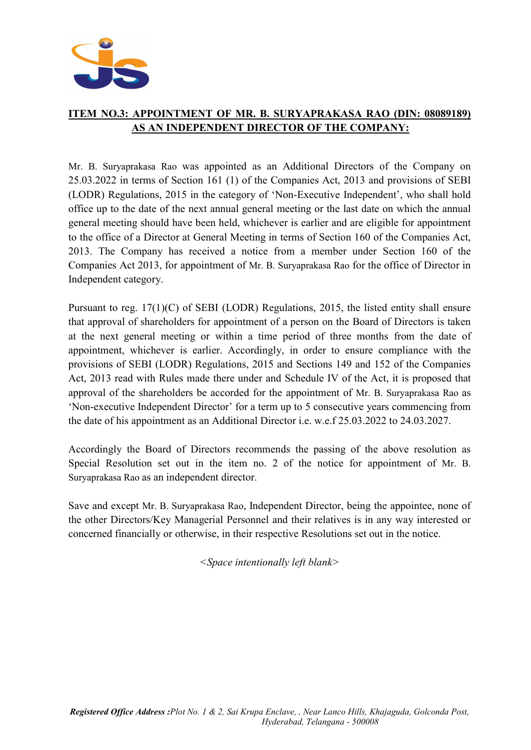

# ITEM NO.3: APPOINTMENT OF MR. B. SURYAPRAKASA RAO (DIN: 08089189) AS AN INDEPENDENT DIRECTOR OF THE COMPANY:

Mr. B. Suryaprakasa Rao was appointed as an Additional Directors of the Company on 25.03.2022 in terms of Section 161 (1) of the Companies Act, 2013 and provisions of SEBI (LODR) Regulations, 2015 in the category of 'Non-Executive Independent', who shall hold office up to the date of the next annual general meeting or the last date on which the annual general meeting should have been held, whichever is earlier and are eligible for appointment to the office of a Director at General Meeting in terms of Section 160 of the Companies Act, 2013. The Company has received a notice from a member under Section 160 of the Companies Act 2013, for appointment of Mr. B. Suryaprakasa Rao for the office of Director in Independent category.

Pursuant to reg. 17(1)(C) of SEBI (LODR) Regulations, 2015, the listed entity shall ensure that approval of shareholders for appointment of a person on the Board of Directors is taken at the next general meeting or within a time period of three months from the date of appointment, whichever is earlier. Accordingly, in order to ensure compliance with the provisions of SEBI (LODR) Regulations, 2015 and Sections 149 and 152 of the Companies Act, 2013 read with Rules made there under and Schedule IV of the Act, it is proposed that approval of the shareholders be accorded for the appointment of Mr. B. Suryaprakasa Rao as 'Non-executive Independent Director' for a term up to 5 consecutive years commencing from the date of his appointment as an Additional Director i.e. w.e.f 25.03.2022 to 24.03.2027.

Accordingly the Board of Directors recommends the passing of the above resolution as Special Resolution set out in the item no. 2 of the notice for appointment of Mr. B. Suryaprakasa Rao as an independent director.

Save and except Mr. B. Suryaprakasa Rao, Independent Director, being the appointee, none of the other Directors/Key Managerial Personnel and their relatives is in any way interested or concerned financially or otherwise, in their respective Resolutions set out in the notice.

<Space intentionally left blank>